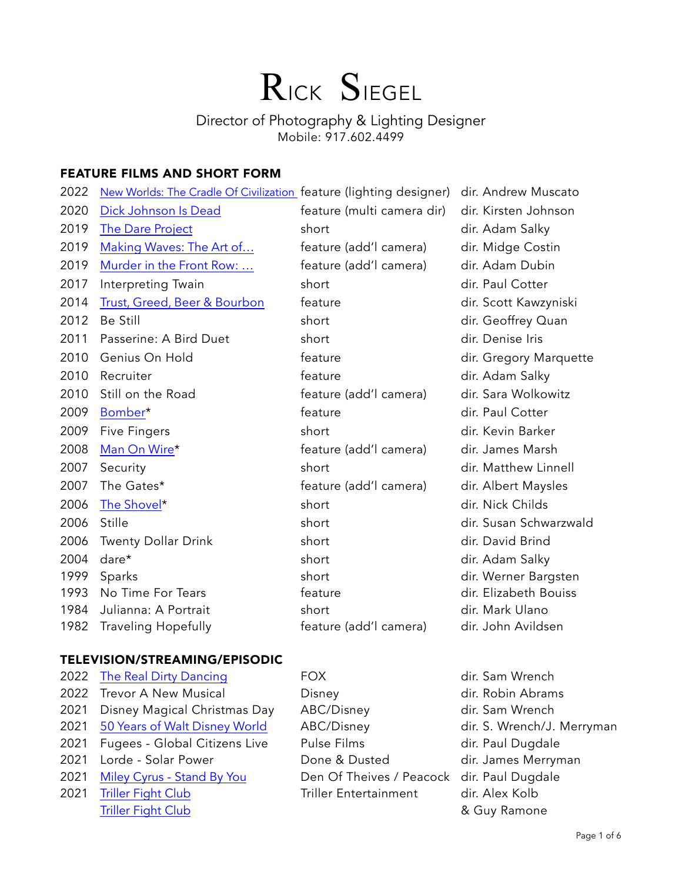# RICK SIEGEL

# Director of Photography & Lighting Designer Mobile: 917.602.4499

# FEATURE FILMS AND SHORT FORM

| 2022 | New Worlds: The Cradle Of Civilization feature (lighting designer) |                            | dir. Andrew Muscato    |
|------|--------------------------------------------------------------------|----------------------------|------------------------|
| 2020 | Dick Johnson Is Dead                                               | feature (multi camera dir) | dir. Kirsten Johnson   |
| 2019 | <b>The Dare Project</b>                                            | short                      | dir. Adam Salky        |
| 2019 | Making Waves: The Art of                                           | feature (add'l camera)     | dir. Midge Costin      |
| 2019 | Murder in the Front Row:                                           | feature (add'l camera)     | dir. Adam Dubin        |
| 2017 | Interpreting Twain                                                 | short                      | dir. Paul Cotter       |
| 2014 | <b>Trust, Greed, Beer &amp; Bourbon</b>                            | feature                    | dir. Scott Kawzyniski  |
| 2012 | Be Still                                                           | short                      | dir. Geoffrey Quan     |
| 2011 | Passerine: A Bird Duet                                             | short                      | dir. Denise Iris       |
| 2010 | Genius On Hold                                                     | feature                    | dir. Gregory Marquette |
| 2010 | Recruiter                                                          | feature                    | dir. Adam Salky        |
| 2010 | Still on the Road                                                  | feature (add'l camera)     | dir. Sara Wolkowitz    |
| 2009 | Bomber*                                                            | feature                    | dir. Paul Cotter       |
| 2009 | <b>Five Fingers</b>                                                | short                      | dir. Kevin Barker      |
| 2008 | Man On Wire*                                                       | feature (add'l camera)     | dir. James Marsh       |
| 2007 | Security                                                           | short                      | dir. Matthew Linnell   |
| 2007 | The Gates*                                                         | feature (add'l camera)     | dir. Albert Maysles    |
| 2006 | The Shovel*                                                        | short                      | dir. Nick Childs       |
| 2006 | Stille                                                             | short                      | dir. Susan Schwarzwald |
| 2006 | <b>Twenty Dollar Drink</b>                                         | short                      | dir. David Brind       |
| 2004 | dare*                                                              | short                      | dir. Adam Salky        |
| 1999 | Sparks                                                             | short                      | dir. Werner Bargsten   |
| 1993 | No Time For Tears                                                  | feature                    | dir. Elizabeth Bouiss  |
| 1984 | Julianna: A Portrait                                               | short                      | dir. Mark Ulano        |
| 1982 | <b>Traveling Hopefully</b>                                         | feature (add'l camera)     | dir. John Avildsen     |

#### TELEVISION/STREAMING/EPISODIC

| The Real Dirty Dancing        |
|-------------------------------|
| <b>Trevor A New Musical</b>   |
| Disney Magical Christmas Day  |
| 50 Years of Walt Disney World |
| Fugees - Global Citizens Live |
| Lorde - Solar Power           |
| Miley Cyrus - Stand By You    |
| <b>Triller Fight Club</b>     |
| <b>Triller Fight Club</b>     |
|                               |

Disney **2022 Trees** dir. Robin Abrams ABC/Disney dir. Sam Wrench ABC/Disney dir. S. Wrench/J. Merryman Pulse Films - Global Citizens - Global Charles Bulgary Done & Dusted dir. James Merryman Den Of Theives / Peacock dir. Paul Dugdale Triller Entertainment dir. Alex Kolb

**2022 The Real Dirty Dancis Dancis Dirty Dancis Dirty Dancis Dirty Dancis Dirty Dancis Director Director** Property Director Director Director Director Director Director Director Director Director Director Director Director & Guy Ramone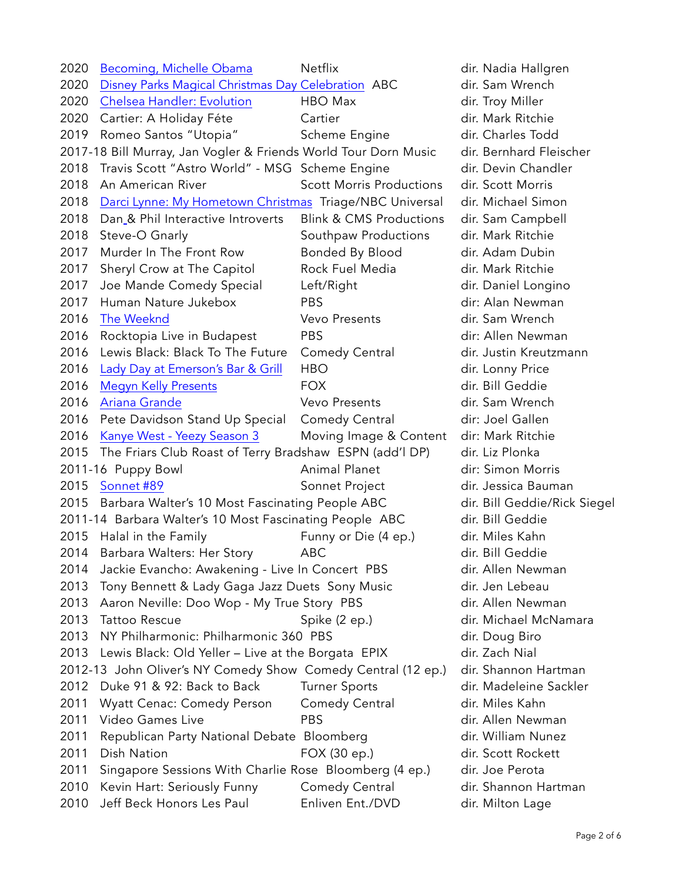| 2020 | Becoming, Michelle Obama                                        | Netflix                            | dir. Nadia Hallgren          |
|------|-----------------------------------------------------------------|------------------------------------|------------------------------|
| 2020 | Disney Parks Magical Christmas Day Celebration ABC              |                                    | dir. Sam Wrench              |
| 2020 | <b>Chelsea Handler: Evolution</b>                               | HBO Max                            | dir. Troy Miller             |
| 2020 | Cartier: A Holiday Féte                                         | Cartier                            | dir. Mark Ritchie            |
| 2019 | Romeo Santos "Utopia"                                           | Scheme Engine                      | dir. Charles Todd            |
|      | 2017-18 Bill Murray, Jan Vogler & Friends World Tour Dorn Music |                                    | dir. Bernhard Fleischer      |
| 2018 | Travis Scott "Astro World" - MSG Scheme Engine                  |                                    | dir. Devin Chandler          |
| 2018 | An American River                                               | <b>Scott Morris Productions</b>    | dir. Scott Morris            |
| 2018 | Darci Lynne: My Hometown Christmas Triage/NBC Universal         |                                    | dir. Michael Simon           |
| 2018 | Dan & Phil Interactive Introverts                               | <b>Blink &amp; CMS Productions</b> | dir. Sam Campbell            |
| 2018 | Steve-O Gnarly                                                  | Southpaw Productions               | dir. Mark Ritchie            |
| 2017 | Murder In The Front Row                                         | Bonded By Blood                    | dir. Adam Dubin              |
| 2017 | Sheryl Crow at The Capitol                                      | Rock Fuel Media                    | dir. Mark Ritchie            |
| 2017 | Joe Mande Comedy Special                                        | Left/Right                         | dir. Daniel Longino          |
| 2017 | Human Nature Jukebox                                            | <b>PBS</b>                         | dir: Alan Newman             |
| 2016 | The Weeknd                                                      | Vevo Presents                      | dir. Sam Wrench              |
| 2016 | Rocktopia Live in Budapest                                      | <b>PBS</b>                         | dir: Allen Newman            |
| 2016 | Lewis Black: Black To The Future                                | Comedy Central                     | dir. Justin Kreutzmann       |
| 2016 | Lady Day at Emerson's Bar & Grill                               | <b>HBO</b>                         | dir. Lonny Price             |
| 2016 | <b>Megyn Kelly Presents</b>                                     | <b>FOX</b>                         | dir. Bill Geddie             |
| 2016 | Ariana Grande                                                   | Vevo Presents                      | dir. Sam Wrench              |
| 2016 | Pete Davidson Stand Up Special                                  | Comedy Central                     | dir: Joel Gallen             |
| 2016 | Kanye West - Yeezy Season 3                                     | Moving Image & Content             | dir: Mark Ritchie            |
| 2015 | The Friars Club Roast of Terry Bradshaw ESPN (add'l DP)         |                                    | dir. Liz Plonka              |
|      | 2011-16 Puppy Bowl                                              | Animal Planet                      | dir: Simon Morris            |
|      | 2015 Sonnet #89                                                 | Sonnet Project                     | dir. Jessica Bauman          |
|      | 2015 Barbara Walter's 10 Most Fascinating People ABC            |                                    | dir. Bill Geddie/Rick Siegel |
|      | 2011-14 Barbara Walter's 10 Most Fascinating People ABC         |                                    | dir. Bill Geddie             |
| 2015 | Halal in the Family                                             | Funny or Die (4 ep.)               | dir. Miles Kahn              |
| 2014 | Barbara Walters: Her Story                                      | <b>ABC</b>                         | dir. Bill Geddie             |
| 2014 | Jackie Evancho: Awakening - Live In Concert PBS                 |                                    | dir. Allen Newman            |
| 2013 | Tony Bennett & Lady Gaga Jazz Duets Sony Music                  |                                    | dir. Jen Lebeau              |
| 2013 | Aaron Neville: Doo Wop - My True Story PBS                      |                                    | dir. Allen Newman            |
| 2013 | <b>Tattoo Rescue</b>                                            | Spike (2 ep.)                      | dir. Michael McNamara        |
| 2013 | NY Philharmonic: Philharmonic 360 PBS                           |                                    | dir. Doug Biro               |
| 2013 | Lewis Black: Old Yeller - Live at the Borgata EPIX              |                                    | dir. Zach Nial               |
|      | 2012-13 John Oliver's NY Comedy Show Comedy Central (12 ep.)    |                                    | dir. Shannon Hartman         |
| 2012 | Duke 91 & 92: Back to Back                                      | <b>Turner Sports</b>               | dir. Madeleine Sackler       |
| 2011 | <b>Wyatt Cenac: Comedy Person</b>                               | Comedy Central                     | dir. Miles Kahn              |
| 2011 | Video Games Live                                                | <b>PBS</b>                         | dir. Allen Newman            |
| 2011 | Republican Party National Debate Bloomberg                      |                                    | dir. William Nunez           |
| 2011 | Dish Nation                                                     | FOX (30 ep.)                       | dir. Scott Rockett           |
| 2011 | Singapore Sessions With Charlie Rose Bloomberg (4 ep.)          |                                    | dir. Joe Perota              |
| 2010 | Kevin Hart: Seriously Funny                                     | Comedy Central                     | dir. Shannon Hartman         |
| 2010 | Jeff Beck Honors Les Paul                                       | Enliven Ent./DVD                   | dir. Milton Lage             |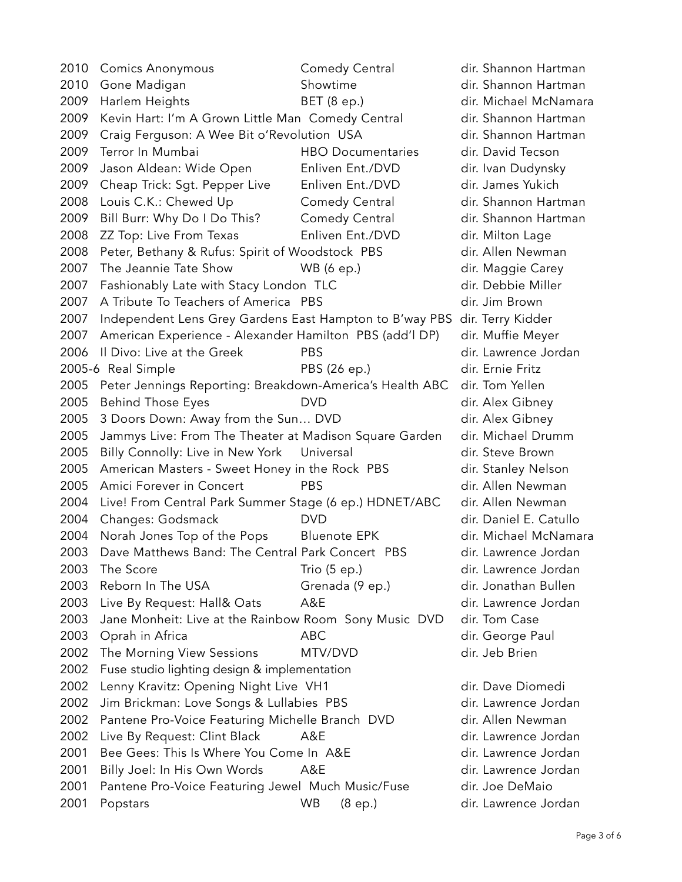2010 Comics Anonymous Comedy Central dir. Shannon Hartman 2010 Gone Madigan Showtime Showtime dir. Shannon Hartman 2009 Harlem Heights BET (8 ep.) dir. Michael McNamara 2009 Kevin Hart: I'm A Grown Little Man Comedy Central dir. Shannon Hartman 2009 Craig Ferguson: A Wee Bit o'Revolution USA dir. Shannon Hartman 2009 Terror In Mumbai HBO Documentaries dir. David Tecson 2009 Jason Aldean: Wide Open Enliven Ent./DVD dir. Ivan Dudynsky 2009 Cheap Trick: Sgt. Pepper Live Enliven Ent./DVD dir. James Yukich 2008 Louis C.K.: Chewed Up Comedy Central dir. Shannon Hartman 2009 Bill Burr: Why Do I Do This? Comedy Central dir. Shannon Hartman 2008 ZZ Top: Live From Texas Enliven Ent./DVD dir. Milton Lage 2008 Peter, Bethany & Rufus: Spirit of Woodstock PBS dir. Allen Newman 2007 The Jeannie Tate Show WB (6 ep.) dir. Maggie Carey 2007 Fashionably Late with Stacy London TLC dir. Debbie Miller 2007 A Tribute To Teachers of America PBS dir. Jim Brown 2007 Independent Lens Grey Gardens East Hampton to B'way PBS dir. Terry Kidder 2007 American Experience - Alexander Hamilton PBS (add'l DP) dir. Muffie Meyer 2006 Il Divo: Live at the Greek PBS PBS dir. Lawrence Jordan 2005-6 Real Simple PBS (26 ep.) dir. Ernie Fritz 2005 Peter Jennings Reporting: Breakdown-America's Health ABC dir. Tom Yellen 2005 Behind Those Eyes DVD dir. Alex Gibney 2005 3 Doors Down: Away from the Sun... DVD dir. Alex Gibney 2005 Jammys Live: From The Theater at Madison Square Garden dir. Michael Drumm 2005 Billy Connolly: Live in New York Universal The Matted Min. Steve Brown 2005 American Masters - Sweet Honey in the Rock PBS dir. Stanley Nelson 2005 Amici Forever in Concert PBS PBS dir. Allen Newman 2004 Live! From Central Park Summer Stage (6 ep.) HDNET/ABC dir. Allen Newman 2004 Changes: Godsmack DVD DVD dir. Daniel E. Catullo 2004 Norah Jones Top of the Pops Bluenote EPK dir. Michael McNamara 2003 Dave Matthews Band: The Central Park Concert PBS dir. Lawrence Jordan 2003 The Score Trio (5 ep.) and the Score Trio (5 ep.) dir. Lawrence Jordan 2003 Reborn In The USA Grenada (9 ep.) dir. Jonathan Bullen 2003 Live By Request: Hall& Oats A&E dir. Lawrence Jordan 2003 Jane Monheit: Live at the Rainbow Room Sony Music DVD dir. Tom Case 2003 Oprah in Africa **ABC** ABC dir. George Paul 2002 The Morning View Sessions MTV/DVD dir. Jeb Brien 2002 Fuse studio lighting design & implementation 2002 Lenny Kravitz: Opening Night Live VH1 dir. Dave Diomedi 2002 Jim Brickman: Love Songs & Lullabies PBS dir. Lawrence Jordan 2002 Pantene Pro-Voice Featuring Michelle Branch DVD dir. Allen Newman 2002 Live By Request: Clint Black A&E dir. Lawrence Jordan 2001 Bee Gees: This Is Where You Come In A&E dir. Lawrence Jordan 2001 Billy Joel: In His Own Words A&E dir. Lawrence Jordan 2001 Pantene Pro-Voice Featuring Jewel Much Music/Fuse dir. Joe DeMaio 2001 Popstars WB (8 ep.) dir. Lawrence Jordan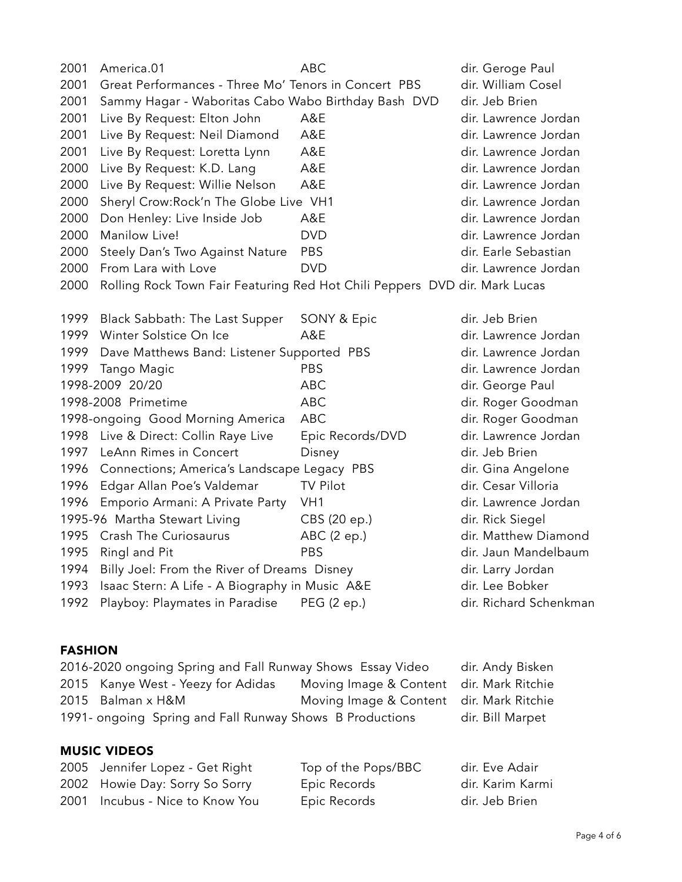| 2001 | America.01                                                                 | <b>ABC</b>       | dir. Geroge Paul       |
|------|----------------------------------------------------------------------------|------------------|------------------------|
| 2001 | Great Performances - Three Mo' Tenors in Concert PBS                       |                  | dir. William Cosel     |
| 2001 | Sammy Hagar - Waboritas Cabo Wabo Birthday Bash DVD                        |                  | dir. Jeb Brien         |
| 2001 | Live By Request: Elton John                                                | A&E              | dir. Lawrence Jordan   |
| 2001 | Live By Request: Neil Diamond                                              | A&E              | dir. Lawrence Jordan   |
| 2001 | Live By Request: Loretta Lynn                                              | A&E              | dir. Lawrence Jordan   |
| 2000 | Live By Request: K.D. Lang                                                 | A&E              | dir. Lawrence Jordan   |
| 2000 | Live By Request: Willie Nelson                                             | A&E              | dir. Lawrence Jordan   |
| 2000 | Sheryl Crow:Rock'n The Globe Live VH1                                      |                  | dir. Lawrence Jordan   |
| 2000 | Don Henley: Live Inside Job                                                | A&E              | dir. Lawrence Jordan   |
| 2000 | Manilow Live!                                                              | <b>DVD</b>       | dir. Lawrence Jordan   |
| 2000 | Steely Dan's Two Against Nature                                            | <b>PBS</b>       | dir. Earle Sebastian   |
| 2000 | From Lara with Love                                                        | <b>DVD</b>       | dir. Lawrence Jordan   |
| 2000 | Rolling Rock Town Fair Featuring Red Hot Chili Peppers DVD dir. Mark Lucas |                  |                        |
|      |                                                                            |                  |                        |
| 1999 | Black Sabbath: The Last Supper                                             | SONY & Epic      | dir. Jeb Brien         |
| 1999 | Winter Solstice On Ice                                                     | A&E              | dir. Lawrence Jordan   |
| 1999 | Dave Matthews Band: Listener Supported PBS                                 |                  | dir. Lawrence Jordan   |
| 1999 | Tango Magic                                                                | <b>PBS</b>       | dir. Lawrence Jordan   |
|      | 1998-2009 20/20                                                            | <b>ABC</b>       | dir. George Paul       |
|      | 1998-2008 Primetime                                                        | <b>ABC</b>       | dir. Roger Goodman     |
|      | 1998-ongoing Good Morning America                                          | <b>ABC</b>       | dir. Roger Goodman     |
| 1998 | Live & Direct: Collin Raye Live                                            | Epic Records/DVD | dir. Lawrence Jordan   |
| 1997 | LeAnn Rimes in Concert                                                     | Disney           | dir. Jeb Brien         |
| 1996 | Connections; America's Landscape Legacy PBS                                |                  | dir. Gina Angelone     |
| 1996 | Edgar Allan Poe's Valdemar                                                 | <b>TV Pilot</b>  | dir. Cesar Villoria    |
| 1996 | Emporio Armani: A Private Party                                            | VH <sub>1</sub>  | dir. Lawrence Jordan   |
|      | 1995-96 Martha Stewart Living                                              | CBS (20 ep.)     | dir. Rick Siegel       |
|      | 1995 Crash The Curiosaurus                                                 | ABC (2 ep.)      | dir. Matthew Diamond   |
| 1995 | Ringl and Pit                                                              | PBS              | dir. Jaun Mandelbaum   |
| 1994 | Billy Joel: From the River of Dreams Disney                                |                  | dir. Larry Jordan      |
| 1993 | Isaac Stern: A Life - A Biography in Music A&E                             |                  | dir. Lee Bobker        |
| 1992 | Playboy: Playmates in Paradise                                             | PEG (2 ep.)      | dir. Richard Schenkman |
|      |                                                                            |                  |                        |

# FASHION

| 2016-2020 ongoing Spring and Fall Runway Shows Essay Video |                                          | dir. Andy Bisken |
|------------------------------------------------------------|------------------------------------------|------------------|
| 2015 Kanye West - Yeezy for Adidas                         | Moving Image & Content dir. Mark Ritchie |                  |
| 2015 Balman x H&M                                          | Moving Image & Content dir. Mark Ritchie |                  |
| 1991- ongoing Spring and Fall Runway Shows B Productions   |                                          | dir. Bill Marpet |

# MUSIC VIDEOS

| 2005 Jennifer Lopez - Get Right | Top of the Pops/BBC | dir. Eve Adair   |
|---------------------------------|---------------------|------------------|
| 2002 Howie Day: Sorry So Sorry  | Epic Records        | dir. Karim Karmi |
| 2001 Incubus - Nice to Know You | Epic Records        | dir. Jeb Brien   |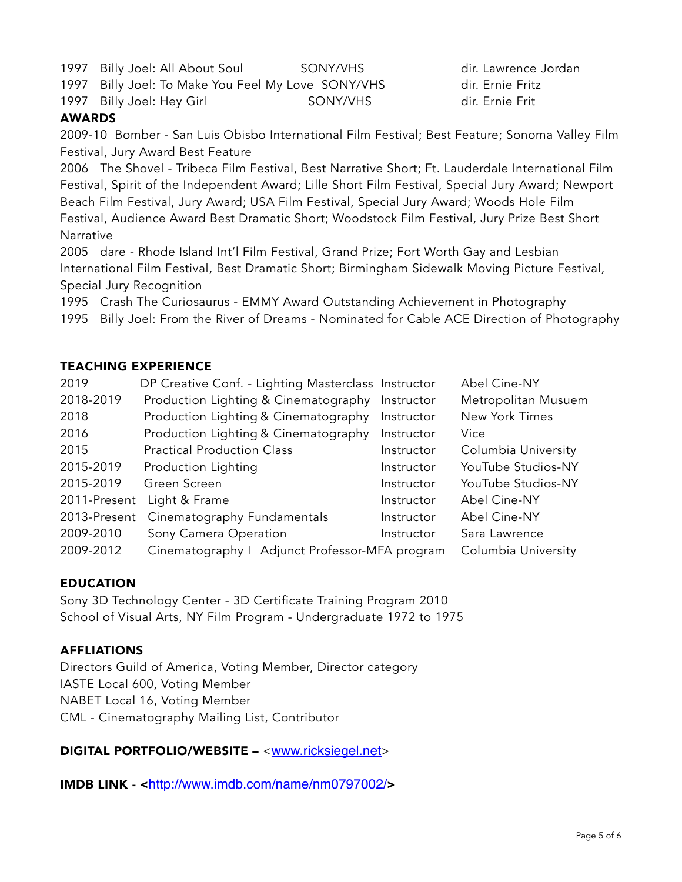1997 Billy Joel: All About Soul SONY/VHS dir. Lawrence Jordan

1997 Billy Joel: To Make You Feel My Love SONY/VHS dir. Ernie Fritz

1997 Billy Joel: Hey Girl SONY/VHS dir. Ernie Frit

#### AWARDS

2009-10 Bomber - San Luis Obisbo International Film Festival; Best Feature; Sonoma Valley Film Festival, Jury Award Best Feature

2006 The Shovel - Tribeca Film Festival, Best Narrative Short; Ft. Lauderdale International Film Festival, Spirit of the Independent Award; Lille Short Film Festival, Special Jury Award; Newport Beach Film Festival, Jury Award; USA Film Festival, Special Jury Award; Woods Hole Film Festival, Audience Award Best Dramatic Short; Woodstock Film Festival, Jury Prize Best Short Narrative

2005 dare - Rhode Island Int'l Film Festival, Grand Prize; Fort Worth Gay and Lesbian International Film Festival, Best Dramatic Short; Birmingham Sidewalk Moving Picture Festival, Special Jury Recognition

1995 Crash The Curiosaurus - EMMY Award Outstanding Achievement in Photography

1995 Billy Joel: From the River of Dreams - Nominated for Cable ACE Direction of Photography

#### TEACHING EXPERIENCE

| 2019         | DP Creative Conf. - Lighting Masterclass Instructor |            | Abel Cine-NY        |
|--------------|-----------------------------------------------------|------------|---------------------|
| 2018-2019    | Production Lighting & Cinematography                | Instructor | Metropolitan Musuem |
| 2018         | Production Lighting & Cinematography                | Instructor | New York Times      |
| 2016         | Production Lighting & Cinematography                | Instructor | Vice                |
| 2015         | <b>Practical Production Class</b>                   | Instructor | Columbia University |
| 2015-2019    | Production Lighting                                 | Instructor | YouTube Studios-NY  |
| 2015-2019    | Green Screen                                        | Instructor | YouTube Studios-NY  |
| 2011-Present | Light & Frame                                       | Instructor | Abel Cine-NY        |
| 2013-Present | Cinematography Fundamentals                         | Instructor | Abel Cine-NY        |
| 2009-2010    | Sony Camera Operation                               | Instructor | Sara Lawrence       |
| 2009-2012    | Cinematography   Adjunct Professor-MFA program      |            | Columbia University |

# EDUCATION

Sony 3D Technology Center - 3D Certificate Training Program 2010 School of Visual Arts, NY Film Program - Undergraduate 1972 to 1975

#### **AFFLIATIONS**

Directors Guild of America, Voting Member, Director category IASTE Local 600, Voting Member NABET Local 16, Voting Member CML - Cinematography Mailing List, Contributor

#### DIGITAL PORTFOLIO/WEBSITE – <[www.ricksiegel.net](http://www.ricksiegel.net)>

IMDB LINK - <<http://www.imdb.com/name/nm0797002/>>